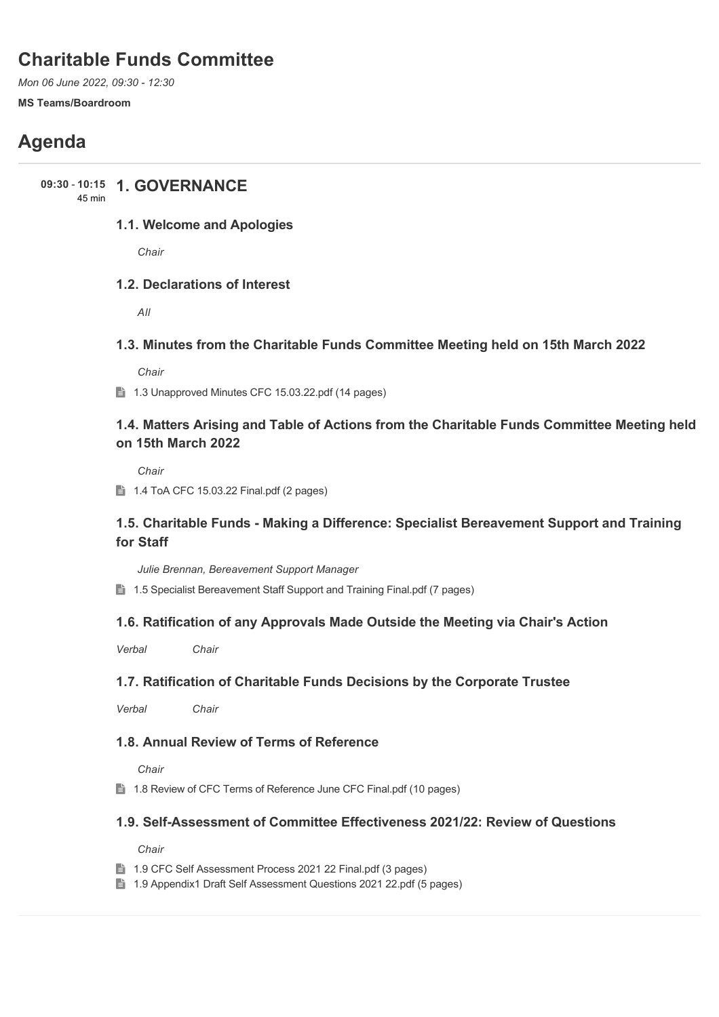# **Charitable Funds Committee**

*Mon 06 June 2022, 09:30 - 12:30*

#### **MS Teams/Boardroom**

# **Agenda**

**1. GOVERNANCE 09:30** - **10:15**

45 min

# **1.1. Welcome and Apologies**

*Chair*

# **1.2. Declarations of Interest**

*All*

# **1.3. Minutes from the Charitable Funds Committee Meeting held on 15th March 2022**

*Chair*

1.3 Unapproved Minutes CFC 15.03.22.pdf (14 pages)

# **1.4. Matters Arising and Table of Actions from the Charitable Funds Committee Meeting held on 15th March 2022**

*Chair*

 $\parallel$  1.4 ToA CFC 15.03.22 Final.pdf (2 pages)

# **1.5. Charitable Funds - Making a Difference: Specialist Bereavement Support and Training for Staff**

*Julie Brennan, Bereavement Support Manager*

**■ 1.5 Specialist Bereavement Staff Support and Training Final.pdf (7 pages)** 

# **1.6. Ratification of any Approvals Made Outside the Meeting via Chair's Action**

*Verbal Chair*

# **1.7. Ratification of Charitable Funds Decisions by the Corporate Trustee**

*Verbal Chair*

# **1.8. Annual Review of Terms of Reference**

*Chair*

**■ 1.8 Review of CFC Terms of Reference June CFC Final.pdf (10 pages)** 

# **1.9. Self-Assessment of Committee Effectiveness 2021/22: Review of Questions**

*Chair*

- 1.9 CFC Self Assessment Process 2021 22 Final.pdf (3 pages)
- 1.9 Appendix1 Draft Self Assessment Questions 2021 22.pdf (5 pages)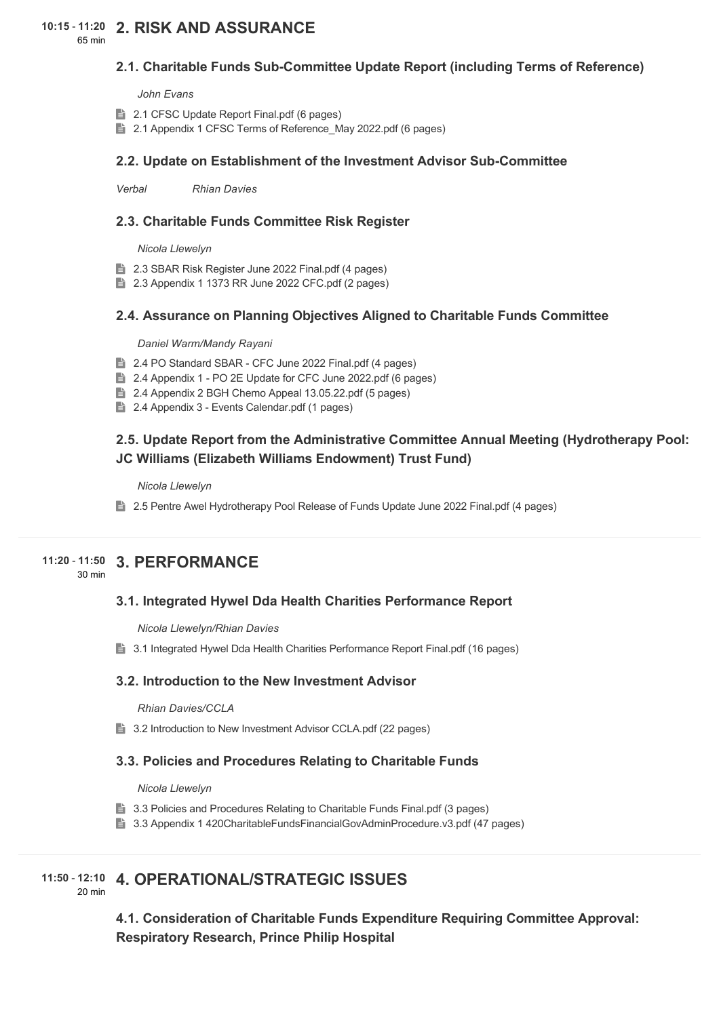# **2. RISK AND ASSURANCE 10:15** - **11:20**

65 min

# **2.1. Charitable Funds Sub-Committee Update Report (including Terms of Reference)**

*John Evans*

- **2.1 CFSC Update Report Final.pdf (6 pages)**
- **2.1 Appendix 1 CFSC Terms of Reference May 2022.pdf (6 pages)**

## **2.2. Update on Establishment of the Investment Advisor Sub-Committee**

*Verbal Rhian Davies*

## **2.3. Charitable Funds Committee Risk Register**

*Nicola Llewelyn*

- **2.3 SBAR Risk Register June 2022 Final.pdf (4 pages)**
- 2.3 Appendix 1 1373 RR June 2022 CFC.pdf (2 pages)

## **2.4. Assurance on Planning Objectives Aligned to Charitable Funds Committee**

#### *Daniel Warm/Mandy Rayani*

- 2.4 PO Standard SBAR CFC June 2022 Final.pdf (4 pages)
- **2.4 Appendix 1 PO 2E Update for CFC June 2022.pdf (6 pages)**
- **2.4 Appendix 2 BGH Chemo Appeal 13.05.22.pdf (5 pages)**
- 2.4 Appendix 3 Events Calendar.pdf (1 pages)

# **2.5. Update Report from the Administrative Committee Annual Meeting (Hydrotherapy Pool: JC Williams (Elizabeth Williams Endowment) Trust Fund)**

*Nicola Llewelyn*

2.5 Pentre Awel Hydrotherapy Pool Release of Funds Update June 2022 Final.pdf (4 pages)

# **3. PERFORMANCE 11:20** - **11:50**

30 min

# **3.1. Integrated Hywel Dda Health Charities Performance Report**

*Nicola Llewelyn/Rhian Davies*

**3.1 Integrated Hywel Dda Health Charities Performance Report Final.pdf (16 pages)** 

### **3.2. Introduction to the New Investment Advisor**

*Rhian Davies/CCLA*

**3.2 Introduction to New Investment Advisor CCLA.pdf (22 pages)** 

### **3.3. Policies and Procedures Relating to Charitable Funds**

*Nicola Llewelyn*

- **3.3 Policies and Procedures Relating to Charitable Funds Final.pdf (3 pages)**
- 3.3 Appendix 1 420CharitableFundsFinancialGovAdminProcedure.v3.pdf (47 pages)

# **4. OPERATIONAL/STRATEGIC ISSUES 11:50** - **12:10**

20 min

**4.1. Consideration of Charitable Funds Expenditure Requiring Committee Approval: Respiratory Research, Prince Philip Hospital**